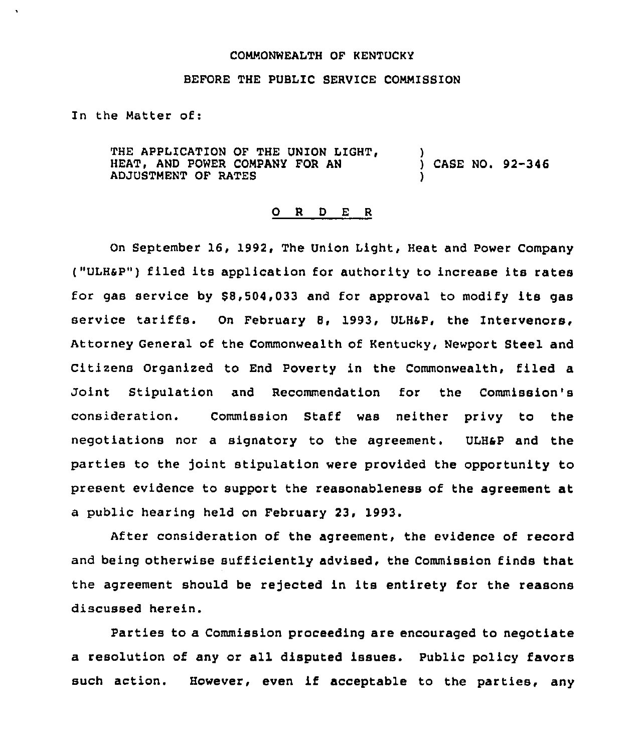## COMMONWEALTH OF KENTUCKY

## BEFORE THE PUBLIC SERVICE COMMISSION

In the Matter of:

THE APPLICATION OF THE UNION LIGHT, HEAT, AND POWER COMPANY FOR AN ADJUSTMENT OF RATES ) CASE NO. 92-346 )

## 0 <sup>R</sup> <sup>D</sup> <sup>E</sup> <sup>R</sup>

On September 16, 1992, The Union Light, Heat and Power Company ("ULHSP") filed its application for authority to increase its rates for gas service by 88,504,033 and for approval to modify its gas service tariffs. On February 8, 1993, ULHsP, the Intervenors, Attorney General of the Commonwealth of Kentucky, Newport Steel and Citizens Organized to End Poverty in the Commonwealth, filed a Joint Stipulation and Recommendation for the Commission's consideration. Commission Staff was neither privy to the negotiations nor a signatory to the agreement. ULHsP and the parties to the joint stipulation were provided the opportunity to present evidence to support the reasonableness of the agreement at a public hearing held on February 23, 1993.

After consideration of the agreement, the evidence of record and being otherwise sufficiently advised, the Commission finds that the agreement should be rejected in its entirety for the reasons discussed herein.

Parties to a Commission proceeding are encouraged to negotiate a resolution of any or all disputed issues. Public policy favors such action. However, even if acceptable to the parties, any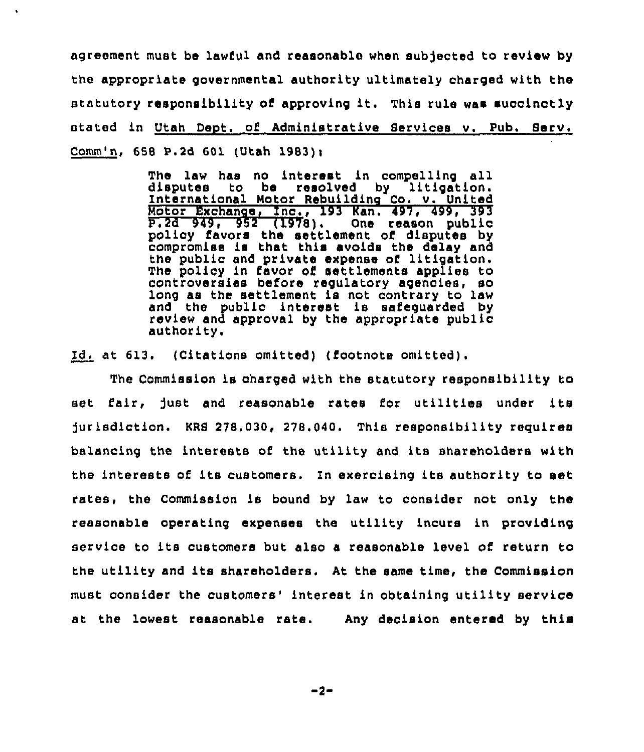agreement must be lawful and reasonable when sub)ected to review by the appropriate governmental authority ultimately charged with the statutory responsibility of approving it. This rule was succinctly stated in Utah Deot. of Administrative Services v. Pub. Serv. Comm'n, 658 P.2d 601 (Utah 1983)i

> The law has no interest in compelling all disputes to be resolved by litigation. International Motor Rebuilding Co. v. Unite Motor Exchange, Inc., 193 Kan. 497, 499, 393 P.2d 949, 952 (1978), One reason public policy favors the settlement of disputes by compromise is that this avoids the delay and the public and private expense of litigation, The policy in favor of settlements applies to controversies before regulatory agencies, so long as the settlement is not contrary to law and the public interest is safeguarded by review and approval by the appropriate public authority.

Id. at 613. (Citations omitted) (footnote omitted).

The Commission is charged with the statutory responsibility to set fair, fust and reasonable rates for utilities under its jurisdiction. KRS 278.030, 278.040. This responsibility requires balancing the interests of the utility and its shareholders with the interests of its customers. In exercising its authority to set rates, the Commission is bound by law to consider not only the reasonable operating expenses the utility incurs in providing service to its customers but also <sup>a</sup> reasonable level of return to the utility and its shareholders. At the same time, the Commission must consider the customers' interest in obtaining utility service at the lowest reasonable rate. Any decision entered by this

 $-2-$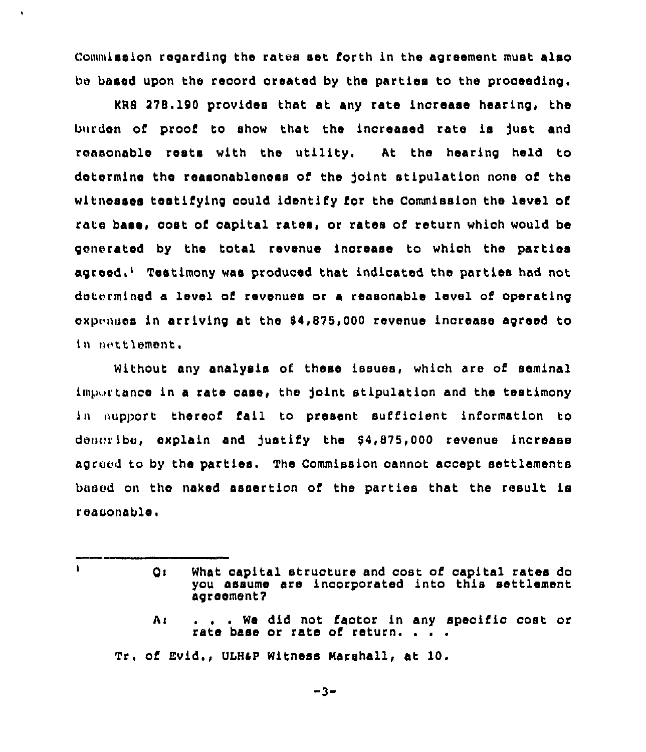Commission regarding the rates set forth in the agreement must also be based upon the record created by the parties to the proceeding.

 $KRS$  278.190 provides that at any rate increase hearing, the burden of proof to show that the increased rate is fust and reasonable rests with the utility. At the hearing held to determine the reasonableness of the )oint stipulation none of the witnesses testifying could identify for the Commission the level of rate base, cost oC capital rates, or rates of return which would be generated by the total revenue inorease to which the parties agreed,<sup>1</sup> Teatimony was produced that indicated the parties had not determined a level of revenues or a reasonable level of operating expenses in arriving at the \$4,875,000 revenue increase agreed to in nettlement.

Without any analysis of these issues, which are of seminal importance in a rate case, the joint stipulation and the testimony in aupport thereof fail to present sufficient information to decoribe, explain and justify the  $$4,875,000$  revenue increase agreed to by the parties. The Commission cannot accept settlements based on the naked assertion of the parties that the result is reasonable.

 $\mathbf{I}$ 

pi What capital structure and cost of capital rates do you assume are incorporated into this settlement agreement7

A: . . . We did not factor in any specific cost or rate base or rate of return.

Tr. of Evid., ULHap Witness Marshall, at 10.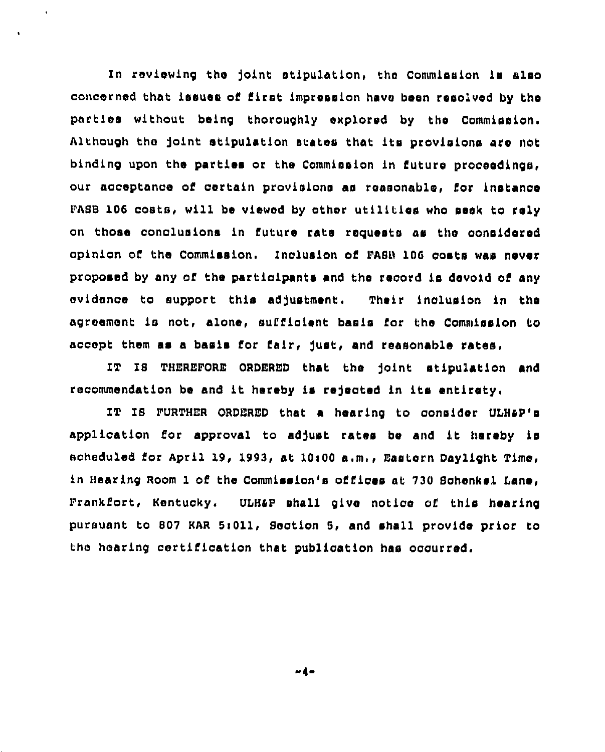In reviewing the joint stipulation, the Commission is also concerned that issues of first impression have been resolved by tha parties without being thoroughly explored by the Commission. Although the joint stipulation states that its provisions are not binding upon the partlea or the Commission ln future proceedings, our acoeptance of oertaln provisions as reasonable, for instance PASS 106 costs, wili be viewed by other utilities who seek to rely on those conclusions in future rate requests as the considered opinion of the Commission. Inc1uslon of PASS 106 costs was never proposed by any of the participants and the record le devoid of any evidence to support this adjustment. Their inclusion in the agreement is not, alone, sufficient basis for the Commission to accept them as a basis for fair, just, and reasonable rates.

IT Is THEREPORE ORDERED that the ]oint stlpu1ation and recommendation be and it hereby is rejected in its entirety.

IT IS FURTHER ORDERED that a hearing to consider ULH&P's application for approval to adjust rates be and it hereby is scheduled for April 19, 1993, at  $10100$  a.m., Eastern Daylight Time, ln Hearing Room I of the commission's offices at 730 Bchenkel lans, Prankfort, Kentucky, UDHap shail give notice of this heating pursuant to 807 KAR 5:011, Section 5, and shall provide prior to the hearing certification that publication has occurred,

 $-4-$